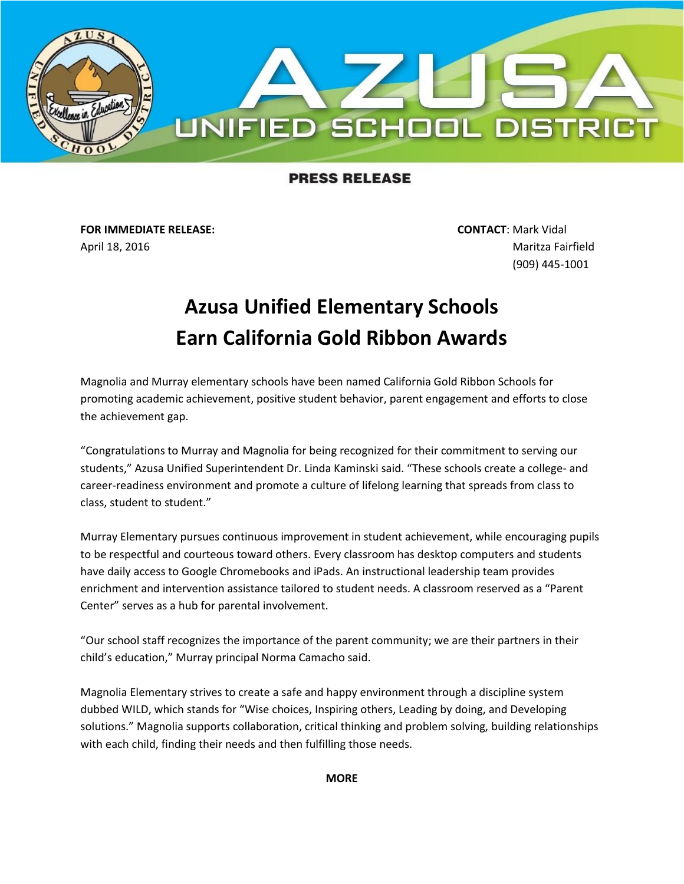

## **PRESS RELEASE**

**FOR IMMEDIATE RELEASE: CONTACT**: Mark Vidal April 18, 2016 Maritza Fairfield

(909) 445-1001

## **Azusa Unified Elementary Schools Earn California Gold Ribbon Awards**

Magnolia and Murray elementary schools have been named California Gold Ribbon Schools for promoting academic achievement, positive student behavior, parent engagement and efforts to close the achievement gap.

"Congratulations to Murray and Magnolia for being recognized for their commitment to serving our students," Azusa Unified Superintendent Dr. Linda Kaminski said. "These schools create a college- and career-readiness environment and promote a culture of lifelong learning that spreads from class to class, student to student."

Murray Elementary pursues continuous improvement in student achievement, while encouraging pupils to be respectful and courteous toward others. Every classroom has desktop computers and students have daily access to Google Chromebooks and iPads. An instructional leadership team provides enrichment and intervention assistance tailored to student needs. A classroom reserved as a "Parent Center" serves as a hub for parental involvement.

"Our school staff recognizes the importance of the parent community; we are their partners in their child's education," Murray principal Norma Camacho said.

Magnolia Elementary strives to create a safe and happy environment through a discipline system dubbed WILD, which stands for "Wise choices, Inspiring others, Leading by doing, and Developing solutions." Magnolia supports collaboration, critical thinking and problem solving, building relationships with each child, finding their needs and then fulfilling those needs.

**MORE**